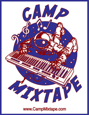

### www.CampMixtape.com

 **additional inquiries:** www.CampMixtape.com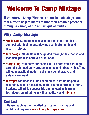# Welcome To Camp Mixtape

**Overview** Camp Mixtape is a music technology camp **that aims to help students realize their creative potential through a variety of fun and unique activities.** 

## Why Camp Mixtape

- **• Music Lab: Students will have hands-on opportunities to connect with technology, play musical instruments and record projects.**
- **Technology: Students will be guided through the creative and technical process of music production.**
- **• Storytelling: Students' curiosities will be captivated through carefully planned daily programs, talks and lab activities. They will gain practical modern skills in a collaborative and safe environment.**
- **Mixtape: Activities include sound hikes, beatmaking, field recording, voice processing, tactile sound control and more. Students will utilize accessible and innovative learning techniques culminating in a final audio/visual mixtape.**

#### **Contact**

 **Please reach out for detailed curriculum, pricing, and additional inquiries:** www.CampMixtape.com